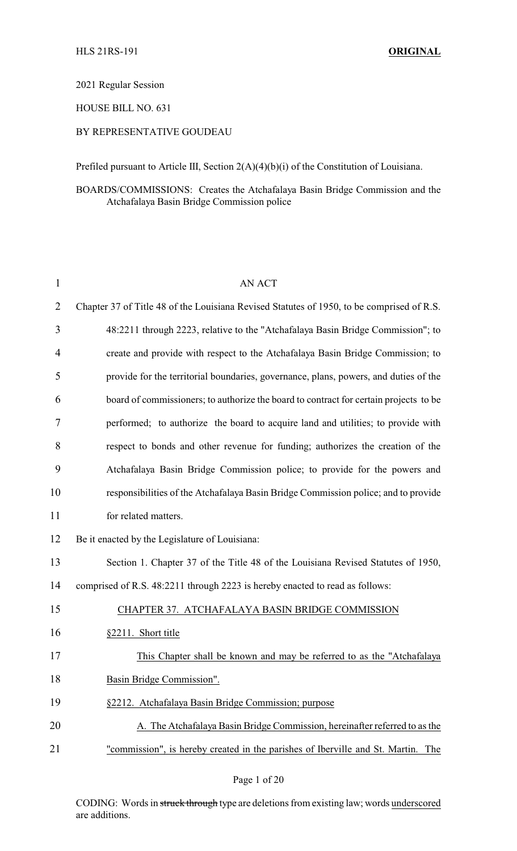2021 Regular Session

HOUSE BILL NO. 631

## BY REPRESENTATIVE GOUDEAU

Prefiled pursuant to Article III, Section 2(A)(4)(b)(i) of the Constitution of Louisiana.

BOARDS/COMMISSIONS: Creates the Atchafalaya Basin Bridge Commission and the Atchafalaya Basin Bridge Commission police

| $\mathbf{1}$   | <b>AN ACT</b>                                                                             |
|----------------|-------------------------------------------------------------------------------------------|
| $\overline{2}$ | Chapter 37 of Title 48 of the Louisiana Revised Statutes of 1950, to be comprised of R.S. |
| 3              | 48:2211 through 2223, relative to the "Atchafalaya Basin Bridge Commission"; to           |
| 4              | create and provide with respect to the Atchafalaya Basin Bridge Commission; to            |
| 5              | provide for the territorial boundaries, governance, plans, powers, and duties of the      |
| 6              | board of commissioners; to authorize the board to contract for certain projects to be     |
| 7              | performed; to authorize the board to acquire land and utilities; to provide with          |
| 8              | respect to bonds and other revenue for funding; authorizes the creation of the            |
| 9              | Atchafalaya Basin Bridge Commission police; to provide for the powers and                 |
| 10             | responsibilities of the Atchafalaya Basin Bridge Commission police; and to provide        |
| 11             | for related matters.                                                                      |
| 12             | Be it enacted by the Legislature of Louisiana:                                            |
| 13             | Section 1. Chapter 37 of the Title 48 of the Louisiana Revised Statutes of 1950,          |
| 14             | comprised of R.S. 48:2211 through 2223 is hereby enacted to read as follows:              |
| 15             | CHAPTER 37. ATCHAFALAYA BASIN BRIDGE COMMISSION                                           |
| 16             | §2211. Short title                                                                        |
| 17             | This Chapter shall be known and may be referred to as the "Atchafalaya"                   |
| 18             | Basin Bridge Commission".                                                                 |
| 19             | §2212. Atchafalaya Basin Bridge Commission; purpose                                       |
| 20             | A. The Atchafalaya Basin Bridge Commission, hereinafter referred to as the                |
| 21             | "commission", is hereby created in the parishes of Iberville and St. Martin.<br>The       |

CODING: Words in struck through type are deletions from existing law; words underscored are additions.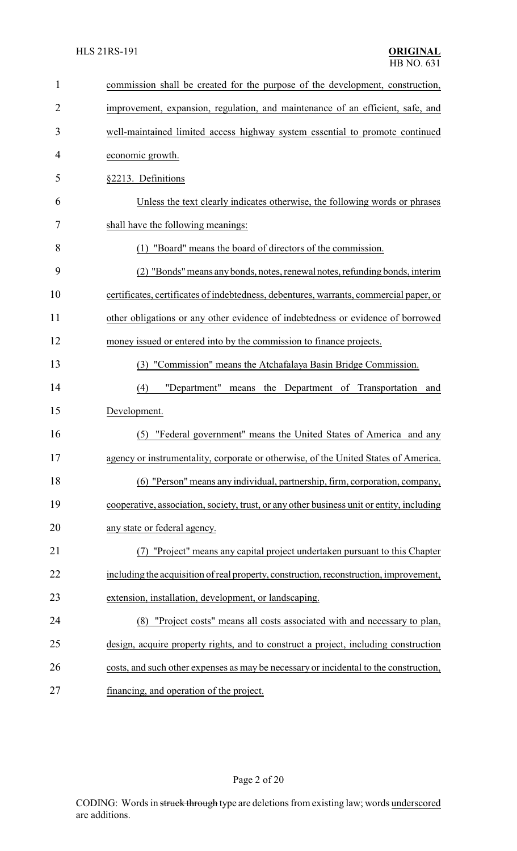| 1              | commission shall be created for the purpose of the development, construction,             |
|----------------|-------------------------------------------------------------------------------------------|
| $\overline{2}$ | improvement, expansion, regulation, and maintenance of an efficient, safe, and            |
| 3              | well-maintained limited access highway system essential to promote continued              |
| 4              | economic growth.                                                                          |
| 5              | §2213. Definitions                                                                        |
| 6              | Unless the text clearly indicates otherwise, the following words or phrases               |
| 7              | shall have the following meanings:                                                        |
| 8              | "Board" means the board of directors of the commission.                                   |
| 9              | (2) "Bonds" means any bonds, notes, renewal notes, refunding bonds, interim               |
| 10             | certificates, certificates of indebtedness, debentures, warrants, commercial paper, or    |
| 11             | other obligations or any other evidence of indebtedness or evidence of borrowed           |
| 12             | money issued or entered into by the commission to finance projects.                       |
| 13             | "Commission" means the Atchafalaya Basin Bridge Commission.<br>(3)                        |
| 14             | (4)<br>"Department"<br>the Department of Transportation<br>means<br>and                   |
| 15             | Development.                                                                              |
| 16             | "Federal government" means the United States of America and any<br>(5)                    |
| 17             | agency or instrumentality, corporate or otherwise, of the United States of America.       |
| 18             | (6) "Person" means any individual, partnership, firm, corporation, company,               |
| 19             | cooperative, association, society, trust, or any other business unit or entity, including |
| 20             | any state or federal agency.                                                              |
| 21             | "Project" means any capital project undertaken pursuant to this Chapter                   |
| 22             | including the acquisition of real property, construction, reconstruction, improvement,    |
| 23             | extension, installation, development, or landscaping.                                     |
| 24             | "Project costs" means all costs associated with and necessary to plan,<br>(8)             |
| 25             | design, acquire property rights, and to construct a project, including construction       |
| 26             | costs, and such other expenses as may be necessary or incidental to the construction,     |
| 27             | financing, and operation of the project.                                                  |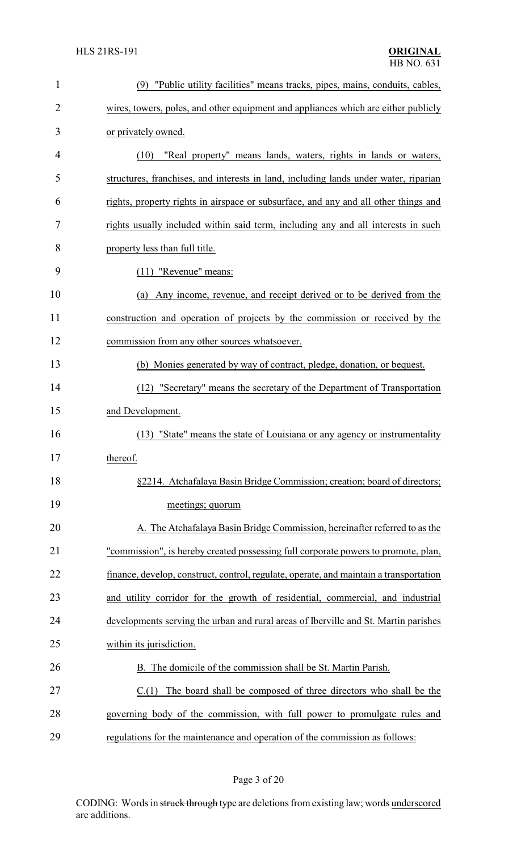| $\mathbf{1}$   | (9) "Public utility facilities" means tracks, pipes, mains, conduits, cables,          |
|----------------|----------------------------------------------------------------------------------------|
| $\overline{2}$ | wires, towers, poles, and other equipment and appliances which are either publicly     |
| 3              | or privately owned.                                                                    |
| $\overline{4}$ | "Real property" means lands, waters, rights in lands or waters,<br>(10)                |
| 5              | structures, franchises, and interests in land, including lands under water, riparian   |
| 6              | rights, property rights in airspace or subsurface, and any and all other things and    |
| 7              | rights usually included within said term, including any and all interests in such      |
| 8              | property less than full title.                                                         |
| 9              | $(11)$ "Revenue" means:                                                                |
| 10             | Any income, revenue, and receipt derived or to be derived from the<br>(a)              |
| 11             | construction and operation of projects by the commission or received by the            |
| 12             | commission from any other sources whatsoever.                                          |
| 13             | (b) Monies generated by way of contract, pledge, donation, or bequest.                 |
| 14             | (12) "Secretary" means the secretary of the Department of Transportation               |
| 15             | and Development.                                                                       |
| 16             | (13) "State" means the state of Louisiana or any agency or instrumentality             |
| 17             | thereof.                                                                               |
| 18             | §2214. Atchafalaya Basin Bridge Commission; creation; board of directors;              |
| 19             | meetings; quorum                                                                       |
| 20             | A. The Atchafalaya Basin Bridge Commission, hereinafter referred to as the             |
| 21             | "commission", is hereby created possessing full corporate powers to promote, plan,     |
| 22             | finance, develop, construct, control, regulate, operate, and maintain a transportation |
| 23             | and utility corridor for the growth of residential, commercial, and industrial         |
| 24             | developments serving the urban and rural areas of Iberville and St. Martin parishes    |
| 25             | within its jurisdiction.                                                               |
| 26             | B. The domicile of the commission shall be St. Martin Parish.                          |
| 27             | C.(1) The board shall be composed of three directors who shall be the                  |
| 28             | governing body of the commission, with full power to promulgate rules and              |
| 29             | regulations for the maintenance and operation of the commission as follows:            |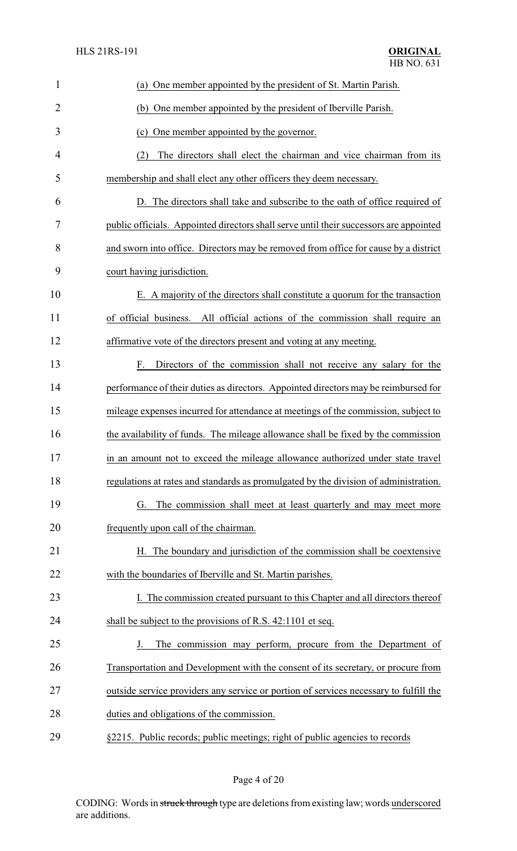| $\mathbf{1}$   | (a) One member appointed by the president of St. Martin Parish.                        |
|----------------|----------------------------------------------------------------------------------------|
| $\overline{2}$ | (b) One member appointed by the president of Iberville Parish.                         |
| 3              | (c) One member appointed by the governor.                                              |
| 4              | The directors shall elect the chairman and vice chairman from its<br>(2)               |
| 5              | membership and shall elect any other officers they deem necessary.                     |
| 6              | D. The directors shall take and subscribe to the oath of office required of            |
| 7              | public officials. Appointed directors shall serve until their successors are appointed |
| 8              | and sworn into office. Directors may be removed from office for cause by a district    |
| 9              | court having jurisdiction.                                                             |
| 10             | E. A majority of the directors shall constitute a quorum for the transaction           |
| 11             | of official business.<br>All official actions of the commission shall require an       |
| 12             | affirmative vote of the directors present and voting at any meeting.                   |
| 13             | Directors of the commission shall not receive any salary for the<br>F.                 |
| 14             | performance of their duties as directors. Appointed directors may be reimbursed for    |
| 15             | mileage expenses incurred for attendance at meetings of the commission, subject to     |
| 16             | the availability of funds. The mileage allowance shall be fixed by the commission      |
| 17             | in an amount not to exceed the mileage allowance authorized under state travel         |
| 18             | regulations at rates and standards as promulgated by the division of administration.   |
| 19             | The commission shall meet at least quarterly and may meet more<br>G.                   |
| 20             | frequently upon call of the chairman.                                                  |
| 21             | The boundary and jurisdiction of the commission shall be coextensive<br>Н.             |
| 22             | with the boundaries of Iberville and St. Martin parishes.                              |
| 23             | I. The commission created pursuant to this Chapter and all directors thereof           |
| 24             | shall be subject to the provisions of R.S. 42:1101 et seq.                             |
| 25             | The commission may perform, procure from the Department of<br>J.                       |
| 26             | Transportation and Development with the consent of its secretary, or procure from      |
| 27             | outside service providers any service or portion of services necessary to fulfill the  |
| 28             | duties and obligations of the commission.                                              |
| 29             | §2215. Public records; public meetings; right of public agencies to records            |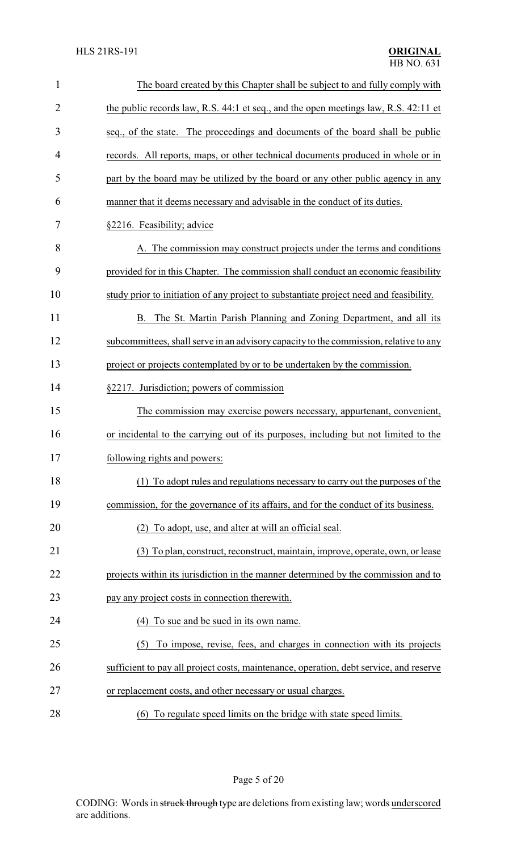| $\mathbf{1}$   | The board created by this Chapter shall be subject to and fully comply with            |
|----------------|----------------------------------------------------------------------------------------|
| $\overline{2}$ | the public records law, R.S. 44:1 et seq., and the open meetings law, R.S. 42:11 et    |
| 3              | seq., of the state. The proceedings and documents of the board shall be public         |
| 4              | records. All reports, maps, or other technical documents produced in whole or in       |
| 5              | part by the board may be utilized by the board or any other public agency in any       |
| 6              | manner that it deems necessary and advisable in the conduct of its duties.             |
| 7              | §2216. Feasibility; advice                                                             |
| 8              | A. The commission may construct projects under the terms and conditions                |
| 9              | provided for in this Chapter. The commission shall conduct an economic feasibility     |
| 10             | study prior to initiation of any project to substantiate project need and feasibility. |
| 11             | B. The St. Martin Parish Planning and Zoning Department, and all its                   |
| 12             | subcommittees, shall serve in an advisory capacity to the commission, relative to any  |
| 13             | project or projects contemplated by or to be undertaken by the commission.             |
| 14             | §2217. Jurisdiction; powers of commission                                              |
| 15             | The commission may exercise powers necessary, appurtenant, convenient,                 |
| 16             | or incidental to the carrying out of its purposes, including but not limited to the    |
| 17             | following rights and powers:                                                           |
| 18             | (1) To adopt rules and regulations necessary to carry out the purposes of the          |
| 19             | commission, for the governance of its affairs, and for the conduct of its business.    |
| 20             | To adopt, use, and alter at will an official seal.<br>(2).                             |
| 21             | (3) To plan, construct, reconstruct, maintain, improve, operate, own, or lease         |
| 22             | projects within its jurisdiction in the manner determined by the commission and to     |
| 23             | pay any project costs in connection therewith.                                         |
| 24             | (4) To sue and be sued in its own name.                                                |
| 25             | To impose, revise, fees, and charges in connection with its projects<br>(5)            |
| 26             | sufficient to pay all project costs, maintenance, operation, debt service, and reserve |
| 27             | or replacement costs, and other necessary or usual charges.                            |
| 28             | (6) To regulate speed limits on the bridge with state speed limits.                    |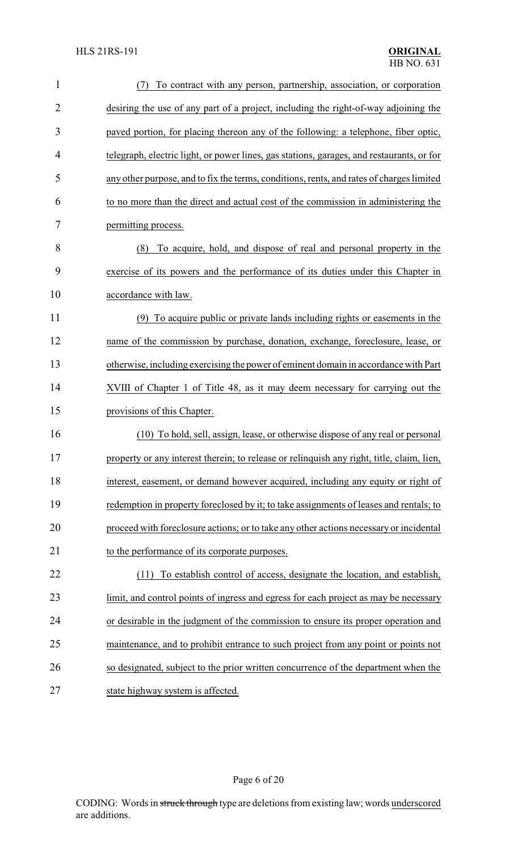| $\mathbf{1}$   | To contract with any person, partnership, association, or corporation<br>(7)              |
|----------------|-------------------------------------------------------------------------------------------|
| $\overline{2}$ | desiring the use of any part of a project, including the right-of-way adjoining the       |
| 3              | paved portion, for placing thereon any of the following: a telephone, fiber optic,        |
| 4              | telegraph, electric light, or power lines, gas stations, garages, and restaurants, or for |
| 5              | any other purpose, and to fix the terms, conditions, rents, and rates of charges limited  |
| 6              | to no more than the direct and actual cost of the commission in administering the         |
| 7              | permitting process.                                                                       |
| 8              | To acquire, hold, and dispose of real and personal property in the<br>(8)                 |
| 9              | exercise of its powers and the performance of its duties under this Chapter in            |
| 10             | accordance with law.                                                                      |
| 11             | (9) To acquire public or private lands including rights or easements in the               |
| 12             | name of the commission by purchase, donation, exchange, foreclosure, lease, or            |
| 13             | otherwise, including exercising the power of eminent domain in accordance with Part       |
| 14             | XVIII of Chapter 1 of Title 48, as it may deem necessary for carrying out the             |
| 15             | provisions of this Chapter.                                                               |
| 16             | (10) To hold, sell, assign, lease, or otherwise dispose of any real or personal           |
| 17             | property or any interest therein; to release or relinquish any right, title, claim, lien, |
| 18             | interest, easement, or demand however acquired, including any equity or right of          |
| 19             | redemption in property foreclosed by it; to take assignments of leases and rentals; to    |
| 20             | proceed with foreclosure actions; or to take any other actions necessary or incidental    |
| 21             | to the performance of its corporate purposes.                                             |
| 22             | To establish control of access, designate the location, and establish,<br>(11)            |
| 23             | limit, and control points of ingress and egress for each project as may be necessary      |
| 24             | or desirable in the judgment of the commission to ensure its proper operation and         |
| 25             | maintenance, and to prohibit entrance to such project from any point or points not        |
| 26             | so designated, subject to the prior written concurrence of the department when the        |
| 27             | state highway system is affected.                                                         |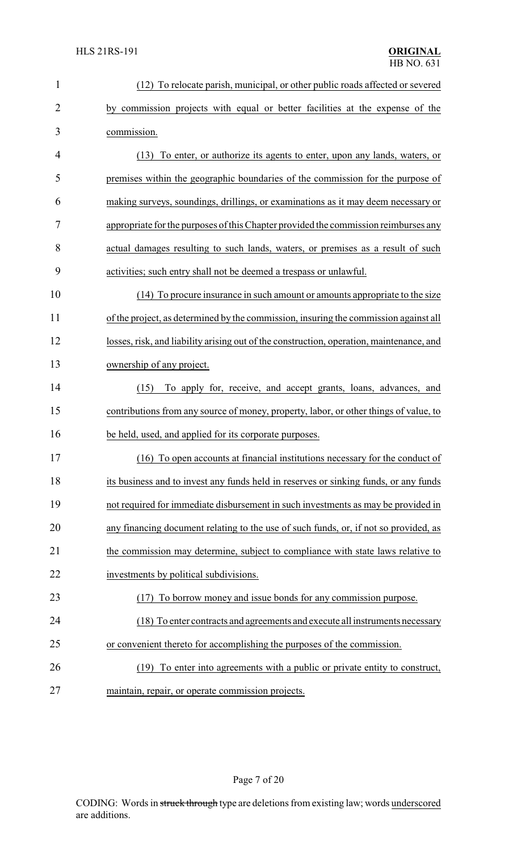| $\mathbf{1}$   | (12) To relocate parish, municipal, or other public roads affected or severed            |
|----------------|------------------------------------------------------------------------------------------|
| $\overline{2}$ | by commission projects with equal or better facilities at the expense of the             |
| 3              | commission.                                                                              |
| 4              | (13) To enter, or authorize its agents to enter, upon any lands, waters, or              |
| 5              | premises within the geographic boundaries of the commission for the purpose of           |
| 6              | making surveys, soundings, drillings, or examinations as it may deem necessary or        |
| 7              | appropriate for the purposes of this Chapter provided the commission reimburses any      |
| 8              | actual damages resulting to such lands, waters, or premises as a result of such          |
| 9              | activities; such entry shall not be deemed a trespass or unlawful.                       |
| 10             | (14) To procure insurance in such amount or amounts appropriate to the size              |
| 11             | of the project, as determined by the commission, insuring the commission against all     |
| 12             | losses, risk, and liability arising out of the construction, operation, maintenance, and |
| 13             | ownership of any project.                                                                |
| 14             | To apply for, receive, and accept grants, loans, advances, and<br>(15)                   |
| 15             | contributions from any source of money, property, labor, or other things of value, to    |
| 16             | be held, used, and applied for its corporate purposes.                                   |
| 17             | (16) To open accounts at financial institutions necessary for the conduct of             |
| 18             | its business and to invest any funds held in reserves or sinking funds, or any funds     |
| 19             | not required for immediate disbursement in such investments as may be provided in        |
| 20             | any financing document relating to the use of such funds, or, if not so provided, as     |
| 21             | the commission may determine, subject to compliance with state laws relative to          |
| 22             | investments by political subdivisions.                                                   |
| 23             | (17) To borrow money and issue bonds for any commission purpose.                         |
| 24             | (18) To enter contracts and agreements and execute all instruments necessary             |
| 25             | or convenient thereto for accomplishing the purposes of the commission.                  |
| 26             | To enter into agreements with a public or private entity to construct,<br>(19)           |
| 27             | maintain, repair, or operate commission projects.                                        |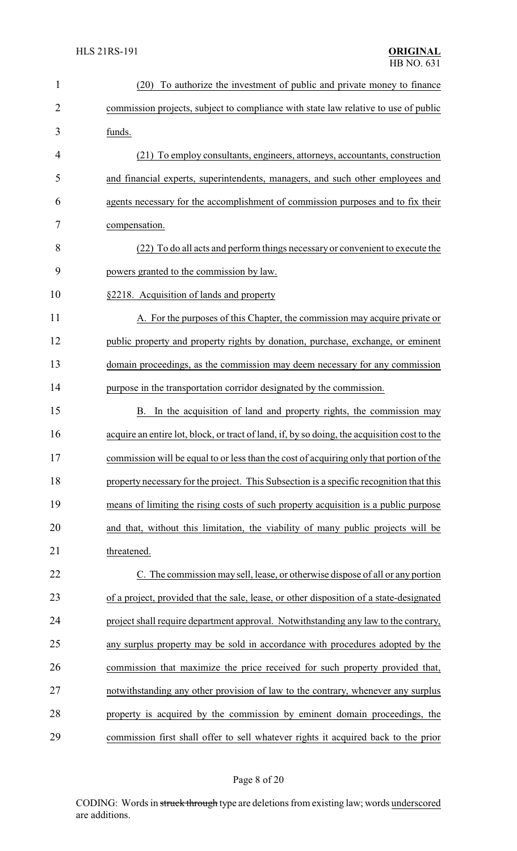| $\mathbf{1}$   | To authorize the investment of public and private money to finance<br>(20)                   |
|----------------|----------------------------------------------------------------------------------------------|
| $\overline{2}$ | commission projects, subject to compliance with state law relative to use of public          |
| 3              | funds.                                                                                       |
| 4              | (21) To employ consultants, engineers, attorneys, accountants, construction                  |
| 5              | and financial experts, superintendents, managers, and such other employees and               |
| 6              | agents necessary for the accomplishment of commission purposes and to fix their              |
| 7              | compensation.                                                                                |
| 8              | (22) To do all acts and perform things necessary or convenient to execute the                |
| 9              | powers granted to the commission by law.                                                     |
| 10             | §2218. Acquisition of lands and property                                                     |
| 11             | A. For the purposes of this Chapter, the commission may acquire private or                   |
| 12             | public property and property rights by donation, purchase, exchange, or eminent              |
| 13             | domain proceedings, as the commission may deem necessary for any commission                  |
| 14             | purpose in the transportation corridor designated by the commission.                         |
| 15             | B. In the acquisition of land and property rights, the commission may                        |
| 16             | acquire an entire lot, block, or tract of land, if, by so doing, the acquisition cost to the |
| 17             | commission will be equal to or less than the cost of acquiring only that portion of the      |
| 18             | property necessary for the project. This Subsection is a specific recognition that this      |
| 19             | means of limiting the rising costs of such property acquisition is a public purpose          |
| 20             | and that, without this limitation, the viability of many public projects will be             |
| 21             | threatened.                                                                                  |
| 22             | C. The commission may sell, lease, or otherwise dispose of all or any portion                |
| 23             | of a project, provided that the sale, lease, or other disposition of a state-designated      |
| 24             | project shall require department approval. Notwithstanding any law to the contrary,          |
| 25             | any surplus property may be sold in accordance with procedures adopted by the                |
| 26             | commission that maximize the price received for such property provided that,                 |
| 27             | notwithstanding any other provision of law to the contrary, whenever any surplus             |
| 28             | property is acquired by the commission by eminent domain proceedings, the                    |
| 29             | commission first shall offer to sell whatever rights it acquired back to the prior           |

# Page 8 of 20

CODING: Words in struck through type are deletions from existing law; words underscored are additions.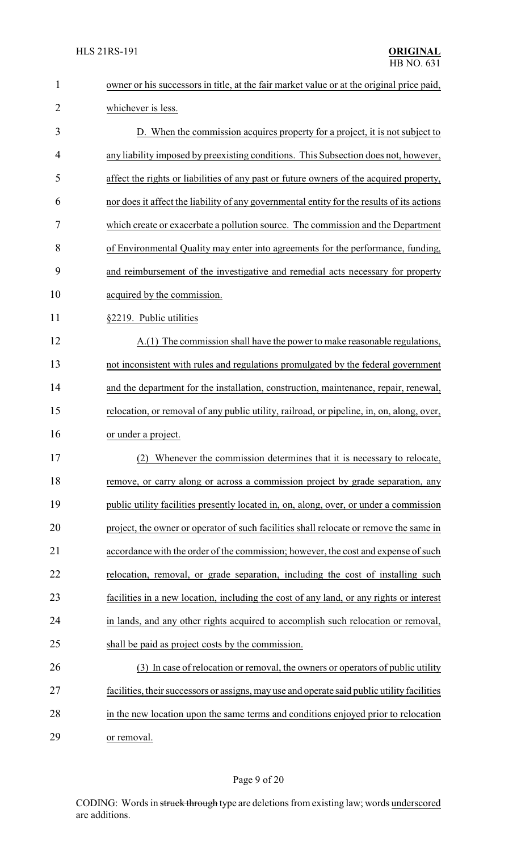| $\mathbf{1}$ | owner or his successors in title, at the fair market value or at the original price paid,   |
|--------------|---------------------------------------------------------------------------------------------|
| 2            | whichever is less.                                                                          |
| 3            | D. When the commission acquires property for a project, it is not subject to                |
| 4            | any liability imposed by preexisting conditions. This Subsection does not, however,         |
| 5            | affect the rights or liabilities of any past or future owners of the acquired property,     |
| 6            | nor does it affect the liability of any governmental entity for the results of its actions  |
| 7            | which create or exacerbate a pollution source. The commission and the Department            |
| 8            | of Environmental Quality may enter into agreements for the performance, funding,            |
| 9            | and reimbursement of the investigative and remedial acts necessary for property             |
| 10           | acquired by the commission.                                                                 |
| 11           | §2219. Public utilities                                                                     |
| 12           | A.(1) The commission shall have the power to make reasonable regulations,                   |
| 13           | not inconsistent with rules and regulations promulgated by the federal government           |
| 14           | and the department for the installation, construction, maintenance, repair, renewal,        |
| 15           | relocation, or removal of any public utility, railroad, or pipeline, in, on, along, over,   |
| 16           | or under a project.                                                                         |
| 17           | (2) Whenever the commission determines that it is necessary to relocate,                    |
| 18           | remove, or carry along or across a commission project by grade separation, any              |
| 19           | public utility facilities presently located in, on, along, over, or under a commission      |
| 20           | project, the owner or operator of such facilities shall relocate or remove the same in      |
| 21           | accordance with the order of the commission; however, the cost and expense of such          |
| 22           | relocation, removal, or grade separation, including the cost of installing such             |
| 23           | facilities in a new location, including the cost of any land, or any rights or interest     |
| 24           | in lands, and any other rights acquired to accomplish such relocation or removal,           |
| 25           | shall be paid as project costs by the commission.                                           |
| 26           | (3) In case of relocation or removal, the owners or operators of public utility             |
| 27           | facilities, their successors or assigns, may use and operate said public utility facilities |
| 28           | in the new location upon the same terms and conditions enjoyed prior to relocation          |
| 29           | or removal.                                                                                 |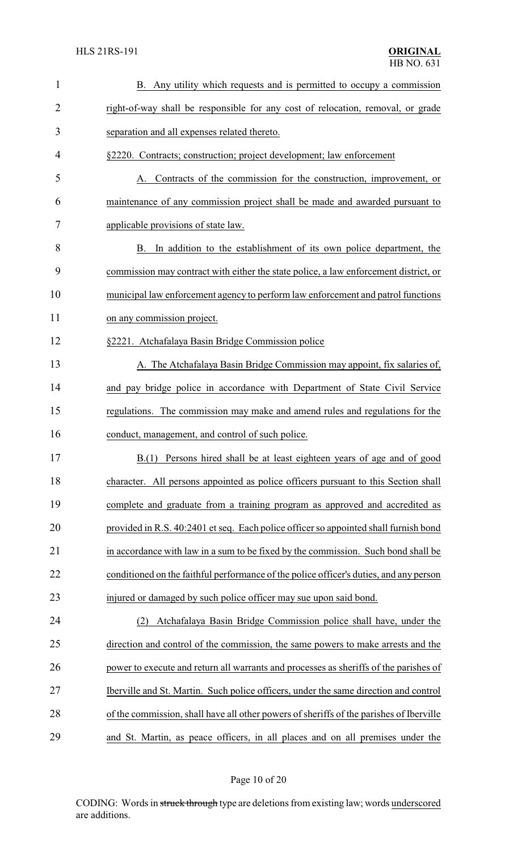| $\mathbf{1}$   | Any utility which requests and is permitted to occupy a commission<br>В.                |
|----------------|-----------------------------------------------------------------------------------------|
| $\overline{2}$ | right-of-way shall be responsible for any cost of relocation, removal, or grade         |
| 3              | separation and all expenses related thereto.                                            |
| 4              | §2220. Contracts; construction; project development; law enforcement                    |
| 5              | A. Contracts of the commission for the construction, improvement, or                    |
| 6              | maintenance of any commission project shall be made and awarded pursuant to             |
| 7              | applicable provisions of state law.                                                     |
| 8              | B. In addition to the establishment of its own police department, the                   |
| 9              | commission may contract with either the state police, a law enforcement district, or    |
| 10             | municipal law enforcement agency to perform law enforcement and patrol functions        |
| 11             | on any commission project.                                                              |
| 12             | §2221. Atchafalaya Basin Bridge Commission police                                       |
| 13             | A. The Atchafalaya Basin Bridge Commission may appoint, fix salaries of,                |
| 14             | and pay bridge police in accordance with Department of State Civil Service              |
| 15             | regulations. The commission may make and amend rules and regulations for the            |
| 16             | conduct, management, and control of such police.                                        |
| 17             | B.(1) Persons hired shall be at least eighteen years of age and of good                 |
| 18             | character. All persons appointed as police officers pursuant to this Section shall      |
| 19             | complete and graduate from a training program as approved and accredited as             |
| 20             | provided in R.S. 40:2401 et seq. Each police officer so appointed shall furnish bond    |
| 21             | in accordance with law in a sum to be fixed by the commission. Such bond shall be       |
| 22             | conditioned on the faithful performance of the police officer's duties, and any person  |
| 23             | injured or damaged by such police officer may sue upon said bond.                       |
| 24             | Atchafalaya Basin Bridge Commission police shall have, under the<br>(2)                 |
| 25             | direction and control of the commission, the same powers to make arrests and the        |
| 26             | power to execute and return all warrants and processes as sheriffs of the parishes of   |
| 27             | Iberville and St. Martin. Such police officers, under the same direction and control    |
| 28             | of the commission, shall have all other powers of sheriffs of the parishes of Iberville |
| 29             | and St. Martin, as peace officers, in all places and on all premises under the          |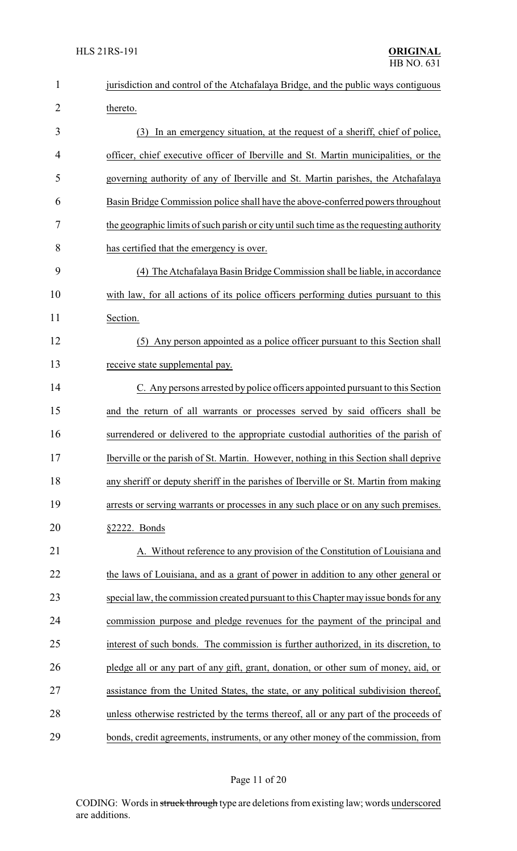| $\mathbf{1}$   | jurisdiction and control of the Atchafalaya Bridge, and the public ways contiguous       |
|----------------|------------------------------------------------------------------------------------------|
| $\overline{2}$ | thereto.                                                                                 |
| 3              | (3) In an emergency situation, at the request of a sheriff, chief of police,             |
| 4              | officer, chief executive officer of Iberville and St. Martin municipalities, or the      |
| 5              | governing authority of any of Iberville and St. Martin parishes, the Atchafalaya         |
| 6              | Basin Bridge Commission police shall have the above-conferred powers throughout          |
| 7              | the geographic limits of such parish or city until such time as the requesting authority |
| 8              | has certified that the emergency is over.                                                |
| 9              | (4) The Atchafalaya Basin Bridge Commission shall be liable, in accordance               |
| 10             | with law, for all actions of its police officers performing duties pursuant to this      |
| 11             | Section.                                                                                 |
| 12             | (5) Any person appointed as a police officer pursuant to this Section shall              |
| 13             | receive state supplemental pay.                                                          |
| 14             | C. Any persons arrested by police officers appointed pursuant to this Section            |
| 15             | and the return of all warrants or processes served by said officers shall be             |
| 16             | surrendered or delivered to the appropriate custodial authorities of the parish of       |
| 17             | Iberville or the parish of St. Martin. However, nothing in this Section shall deprive    |
| 18             | any sheriff or deputy sheriff in the parishes of Iberville or St. Martin from making     |
| 19             | arrests or serving warrants or processes in any such place or on any such premises.      |
| 20             | $§2222$ . Bonds                                                                          |
| 21             | A. Without reference to any provision of the Constitution of Louisiana and               |
| 22             | the laws of Louisiana, and as a grant of power in addition to any other general or       |
| 23             | special law, the commission created pursuant to this Chapter may issue bonds for any     |
| 24             | commission purpose and pledge revenues for the payment of the principal and              |
| 25             | interest of such bonds. The commission is further authorized, in its discretion, to      |
| 26             | pledge all or any part of any gift, grant, donation, or other sum of money, aid, or      |
| 27             | assistance from the United States, the state, or any political subdivision thereof,      |
| 28             | unless otherwise restricted by the terms thereof, all or any part of the proceeds of     |
| 29             | bonds, credit agreements, instruments, or any other money of the commission, from        |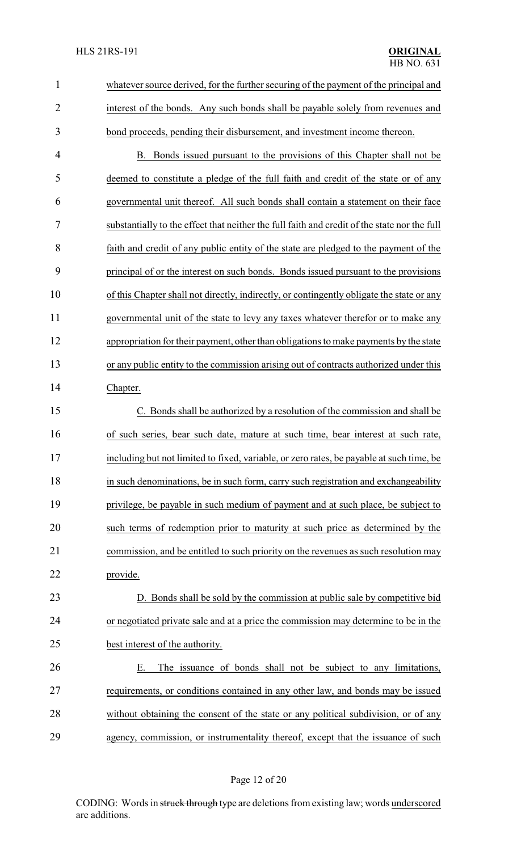| $\mathbf{1}$   | whatever source derived, for the further securing of the payment of the principal and        |
|----------------|----------------------------------------------------------------------------------------------|
| $\overline{2}$ | interest of the bonds. Any such bonds shall be payable solely from revenues and              |
| 3              | bond proceeds, pending their disbursement, and investment income thereon.                    |
| $\overline{4}$ | B. Bonds issued pursuant to the provisions of this Chapter shall not be                      |
| 5              | deemed to constitute a pledge of the full faith and credit of the state or of any            |
| 6              | governmental unit thereof. All such bonds shall contain a statement on their face            |
| 7              | substantially to the effect that neither the full faith and credit of the state nor the full |
| 8              | faith and credit of any public entity of the state are pledged to the payment of the         |
| 9              | principal of or the interest on such bonds. Bonds issued pursuant to the provisions          |
| 10             | of this Chapter shall not directly, indirectly, or contingently obligate the state or any    |
| 11             | governmental unit of the state to levy any taxes whatever therefor or to make any            |
| 12             | appropriation for their payment, other than obligations to make payments by the state        |
| 13             | or any public entity to the commission arising out of contracts authorized under this        |
| 14             | Chapter.                                                                                     |
| 15             | C. Bonds shall be authorized by a resolution of the commission and shall be                  |
| 16             | of such series, bear such date, mature at such time, bear interest at such rate,             |
| 17             | including but not limited to fixed, variable, or zero rates, be payable at such time, be     |
| 18             | in such denominations, be in such form, carry such registration and exchangeability          |
| 19             | privilege, be payable in such medium of payment and at such place, be subject to             |
| 20             | such terms of redemption prior to maturity at such price as determined by the                |
| 21             | commission, and be entitled to such priority on the revenues as such resolution may          |
| 22             | provide.                                                                                     |
| 23             | D. Bonds shall be sold by the commission at public sale by competitive bid                   |
| 24             | or negotiated private sale and at a price the commission may determine to be in the          |
| 25             | best interest of the authority.                                                              |
| 26             | The issuance of bonds shall not be subject to any limitations,<br>Е.                         |
| 27             | requirements, or conditions contained in any other law, and bonds may be issued              |
| 28             | without obtaining the consent of the state or any political subdivision, or of any           |
| 29             | agency, commission, or instrumentality thereof, except that the issuance of such             |
|                |                                                                                              |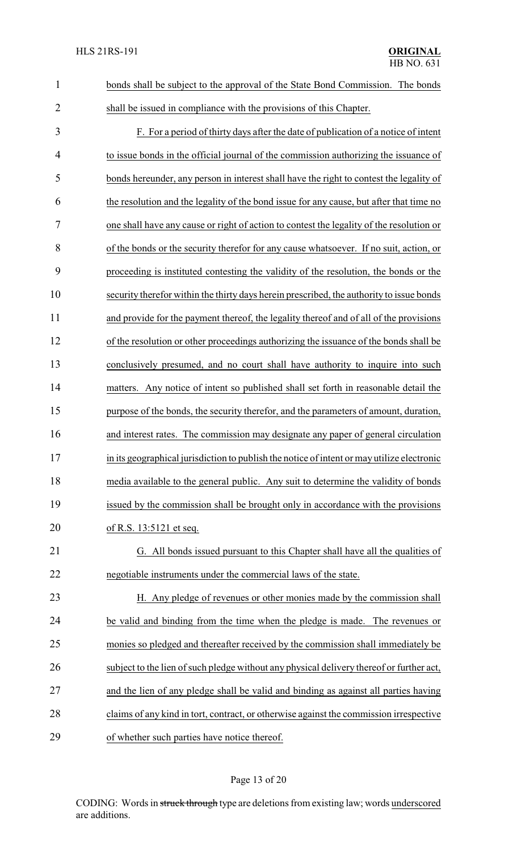| $\mathbf{1}$   | bonds shall be subject to the approval of the State Bond Commission. The bonds             |
|----------------|--------------------------------------------------------------------------------------------|
| $\overline{2}$ | shall be issued in compliance with the provisions of this Chapter.                         |
| 3              | F. For a period of thirty days after the date of publication of a notice of intent         |
| 4              | to issue bonds in the official journal of the commission authorizing the issuance of       |
| 5              | bonds hereunder, any person in interest shall have the right to contest the legality of    |
| 6              | the resolution and the legality of the bond issue for any cause, but after that time no    |
| 7              | one shall have any cause or right of action to contest the legality of the resolution or   |
| 8              | of the bonds or the security therefor for any cause whatsoever. If no suit, action, or     |
| 9              | proceeding is instituted contesting the validity of the resolution, the bonds or the       |
| 10             | security therefor within the thirty days herein prescribed, the authority to issue bonds   |
| 11             | and provide for the payment thereof, the legality thereof and of all of the provisions     |
| 12             | of the resolution or other proceedings authorizing the issuance of the bonds shall be      |
| 13             | conclusively presumed, and no court shall have authority to inquire into such              |
| 14             | matters. Any notice of intent so published shall set forth in reasonable detail the        |
| 15             | purpose of the bonds, the security therefor, and the parameters of amount, duration,       |
| 16             | and interest rates. The commission may designate any paper of general circulation          |
| 17             | in its geographical jurisdiction to publish the notice of intent or may utilize electronic |
| 18             | media available to the general public. Any suit to determine the validity of bonds         |
| 19             | issued by the commission shall be brought only in accordance with the provisions           |
| 20             | of R.S. 13:5121 et seq.                                                                    |
| 21             | G. All bonds issued pursuant to this Chapter shall have all the qualities of               |
| 22             | negotiable instruments under the commercial laws of the state.                             |
| 23             | H. Any pledge of revenues or other monies made by the commission shall                     |
| 24             | be valid and binding from the time when the pledge is made. The revenues or                |
| 25             | monies so pledged and thereafter received by the commission shall immediately be           |
| 26             | subject to the lien of such pledge without any physical delivery thereof or further act,   |
| 27             | and the lien of any pledge shall be valid and binding as against all parties having        |
| 28             | claims of any kind in tort, contract, or otherwise against the commission irrespective     |
| 29             | of whether such parties have notice thereof.                                               |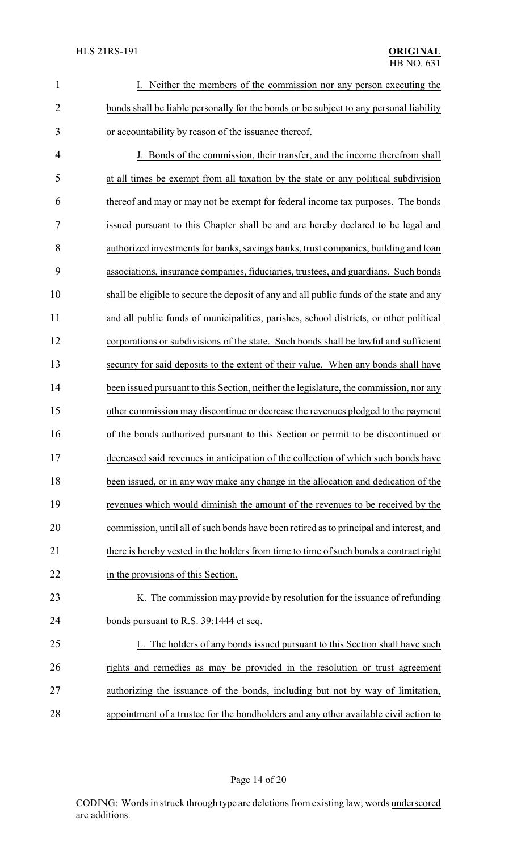| $\mathbf{1}$   | I. Neither the members of the commission nor any person executing the                    |
|----------------|------------------------------------------------------------------------------------------|
| $\overline{2}$ | bonds shall be liable personally for the bonds or be subject to any personal liability   |
| 3              | or accountability by reason of the issuance thereof.                                     |
| $\overline{4}$ | J. Bonds of the commission, their transfer, and the income therefrom shall               |
| 5              | at all times be exempt from all taxation by the state or any political subdivision       |
| 6              | thereof and may or may not be exempt for federal income tax purposes. The bonds          |
| 7              | issued pursuant to this Chapter shall be and are hereby declared to be legal and         |
| 8              | authorized investments for banks, savings banks, trust companies, building and loan      |
| 9              | associations, insurance companies, fiduciaries, trustees, and guardians. Such bonds      |
| 10             | shall be eligible to secure the deposit of any and all public funds of the state and any |
| 11             | and all public funds of municipalities, parishes, school districts, or other political   |
| 12             | corporations or subdivisions of the state. Such bonds shall be lawful and sufficient     |
| 13             | security for said deposits to the extent of their value. When any bonds shall have       |
| 14             | been issued pursuant to this Section, neither the legislature, the commission, nor any   |
| 15             | other commission may discontinue or decrease the revenues pledged to the payment         |
| 16             | of the bonds authorized pursuant to this Section or permit to be discontinued or         |
| 17             | decreased said revenues in anticipation of the collection of which such bonds have       |
| 18             | been issued, or in any way make any change in the allocation and dedication of the       |
| 19             | revenues which would diminish the amount of the revenues to be received by the           |
| 20             | commission, until all of such bonds have been retired as to principal and interest, and  |
| 21             | there is hereby vested in the holders from time to time of such bonds a contract right   |
| 22             | in the provisions of this Section.                                                       |
| 23             | K. The commission may provide by resolution for the issuance of refunding                |
| 24             | bonds pursuant to R.S. 39:1444 et seq.                                                   |
| 25             | L. The holders of any bonds issued pursuant to this Section shall have such              |
| 26             | rights and remedies as may be provided in the resolution or trust agreement              |
| 27             | authorizing the issuance of the bonds, including but not by way of limitation,           |
| 28             | appointment of a trustee for the bondholders and any other available civil action to     |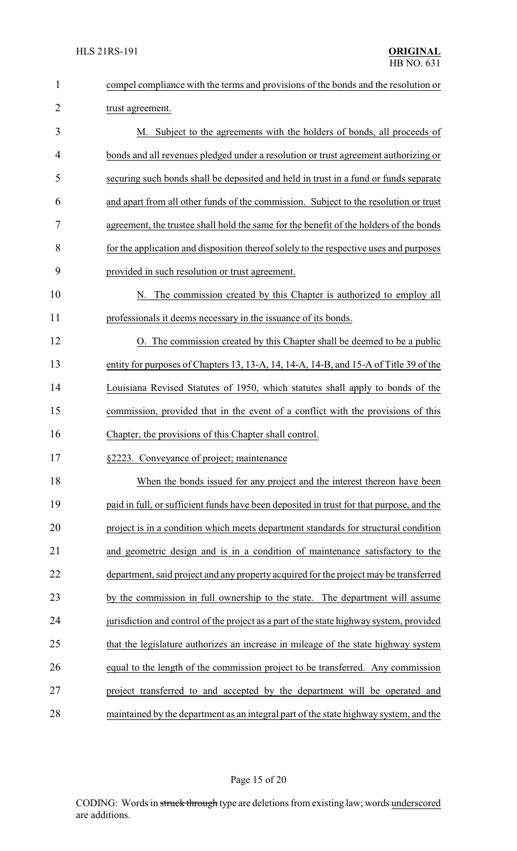| $\mathbf{1}$   | compel compliance with the terms and provisions of the bonds and the resolution or       |
|----------------|------------------------------------------------------------------------------------------|
| $\overline{2}$ | trust agreement.                                                                         |
| 3              | M. Subject to the agreements with the holders of bonds, all proceeds of                  |
| 4              | bonds and all revenues pledged under a resolution or trust agreement authorizing or      |
| 5              | securing such bonds shall be deposited and held in trust in a fund or funds separate     |
| 6              | and apart from all other funds of the commission. Subject to the resolution or trust     |
| 7              | agreement, the trustee shall hold the same for the benefit of the holders of the bonds   |
| 8              | for the application and disposition thereof solely to the respective uses and purposes   |
| 9              | provided in such resolution or trust agreement.                                          |
| 10             | N. The commission created by this Chapter is authorized to employ all                    |
| 11             | professionals it deems necessary in the issuance of its bonds.                           |
| 12             | O. The commission created by this Chapter shall be deemed to be a public                 |
| 13             | entity for purposes of Chapters 13, 13-A, 14, 14-A, 14-B, and 15-A of Title 39 of the    |
| 14             | Louisiana Revised Statutes of 1950, which statutes shall apply to bonds of the           |
| 15             | commission, provided that in the event of a conflict with the provisions of this         |
| 16             | Chapter, the provisions of this Chapter shall control.                                   |
| 17             | §2223. Conveyance of project; maintenance                                                |
| 18             | When the bonds issued for any project and the interest thereon have been                 |
| 19             | paid in full, or sufficient funds have been deposited in trust for that purpose, and the |
| 20             | project is in a condition which meets department standards for structural condition      |
| 21             | and geometric design and is in a condition of maintenance satisfactory to the            |
| 22             | department, said project and any property acquired for the project may be transferred    |
| 23             | by the commission in full ownership to the state. The department will assume             |
| 24             | jurisdiction and control of the project as a part of the state highway system, provided  |
| 25             | that the legislature authorizes an increase in mileage of the state highway system       |
| 26             | equal to the length of the commission project to be transferred. Any commission          |
| 27             | project transferred to and accepted by the department will be operated and               |
| 28             | maintained by the department as an integral part of the state highway system, and the    |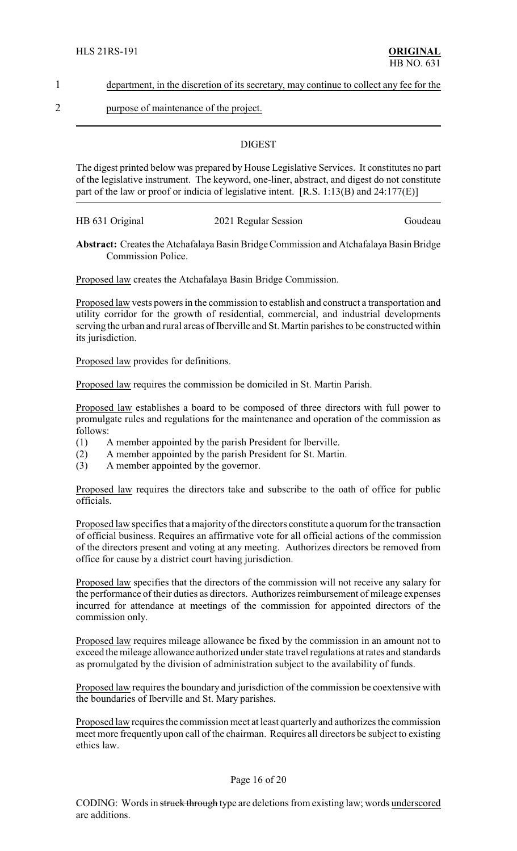1 department, in the discretion of its secretary, may continue to collect any fee for the

2 purpose of maintenance of the project.

### **DIGEST**

The digest printed below was prepared by House Legislative Services. It constitutes no part of the legislative instrument. The keyword, one-liner, abstract, and digest do not constitute part of the law or proof or indicia of legislative intent. [R.S. 1:13(B) and 24:177(E)]

HB 631 Original 2021 Regular Session Goudeau

**Abstract:** Creates the Atchafalaya Basin Bridge Commission and Atchafalaya Basin Bridge Commission Police.

Proposed law creates the Atchafalaya Basin Bridge Commission.

Proposed law vests powers in the commission to establish and construct a transportation and utility corridor for the growth of residential, commercial, and industrial developments serving the urban and rural areas of Iberville and St. Martin parishes to be constructed within its jurisdiction.

Proposed law provides for definitions.

Proposed law requires the commission be domiciled in St. Martin Parish.

Proposed law establishes a board to be composed of three directors with full power to promulgate rules and regulations for the maintenance and operation of the commission as follows:

- (1) A member appointed by the parish President for Iberville.
- (2) A member appointed by the parish President for St. Martin.
- (3) A member appointed by the governor.

Proposed law requires the directors take and subscribe to the oath of office for public officials.

Proposed law specifies that a majority of the directors constitute a quorum for the transaction of official business. Requires an affirmative vote for all official actions of the commission of the directors present and voting at any meeting. Authorizes directors be removed from office for cause by a district court having jurisdiction.

Proposed law specifies that the directors of the commission will not receive any salary for the performance of their duties as directors. Authorizes reimbursement of mileage expenses incurred for attendance at meetings of the commission for appointed directors of the commission only.

Proposed law requires mileage allowance be fixed by the commission in an amount not to exceed the mileage allowance authorized under state travel regulations at rates and standards as promulgated by the division of administration subject to the availability of funds.

Proposed law requires the boundary and jurisdiction of the commission be coextensive with the boundaries of Iberville and St. Mary parishes.

Proposed law requires the commission meet at least quarterly and authorizes the commission meet more frequently upon call of the chairman. Requires all directors be subject to existing ethics law.

#### Page 16 of 20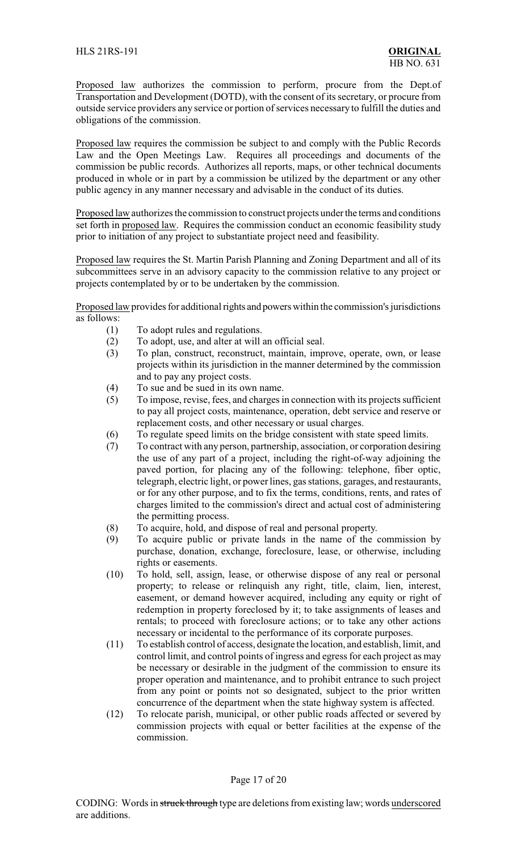Proposed law authorizes the commission to perform, procure from the Dept.of Transportation and Development (DOTD), with the consent of its secretary, or procure from outside service providers any service or portion of services necessary to fulfill the duties and obligations of the commission.

Proposed law requires the commission be subject to and comply with the Public Records Law and the Open Meetings Law. Requires all proceedings and documents of the commission be public records. Authorizes all reports, maps, or other technical documents produced in whole or in part by a commission be utilized by the department or any other public agency in any manner necessary and advisable in the conduct of its duties.

Proposed law authorizes the commission to construct projects under the terms and conditions set forth in proposed law. Requires the commission conduct an economic feasibility study prior to initiation of any project to substantiate project need and feasibility.

Proposed law requires the St. Martin Parish Planning and Zoning Department and all of its subcommittees serve in an advisory capacity to the commission relative to any project or projects contemplated by or to be undertaken by the commission.

Proposed law provides for additional rights and powers within the commission's jurisdictions as follows:

- (1) To adopt rules and regulations.
- (2) To adopt, use, and alter at will an official seal.
- (3) To plan, construct, reconstruct, maintain, improve, operate, own, or lease projects within its jurisdiction in the manner determined by the commission and to pay any project costs.
- (4) To sue and be sued in its own name.
- (5) To impose, revise, fees, and charges in connection with its projects sufficient to pay all project costs, maintenance, operation, debt service and reserve or replacement costs, and other necessary or usual charges.
- (6) To regulate speed limits on the bridge consistent with state speed limits.
- (7) To contract with any person, partnership, association, or corporation desiring the use of any part of a project, including the right-of-way adjoining the paved portion, for placing any of the following: telephone, fiber optic, telegraph, electric light, or power lines, gas stations, garages, and restaurants, or for any other purpose, and to fix the terms, conditions, rents, and rates of charges limited to the commission's direct and actual cost of administering the permitting process.
- (8) To acquire, hold, and dispose of real and personal property.
- (9) To acquire public or private lands in the name of the commission by purchase, donation, exchange, foreclosure, lease, or otherwise, including rights or easements.
- (10) To hold, sell, assign, lease, or otherwise dispose of any real or personal property; to release or relinquish any right, title, claim, lien, interest, easement, or demand however acquired, including any equity or right of redemption in property foreclosed by it; to take assignments of leases and rentals; to proceed with foreclosure actions; or to take any other actions necessary or incidental to the performance of its corporate purposes.
- (11) To establish control of access, designate the location, and establish, limit, and control limit, and control points of ingress and egress for each project as may be necessary or desirable in the judgment of the commission to ensure its proper operation and maintenance, and to prohibit entrance to such project from any point or points not so designated, subject to the prior written concurrence of the department when the state highway system is affected.
- (12) To relocate parish, municipal, or other public roads affected or severed by commission projects with equal or better facilities at the expense of the commission.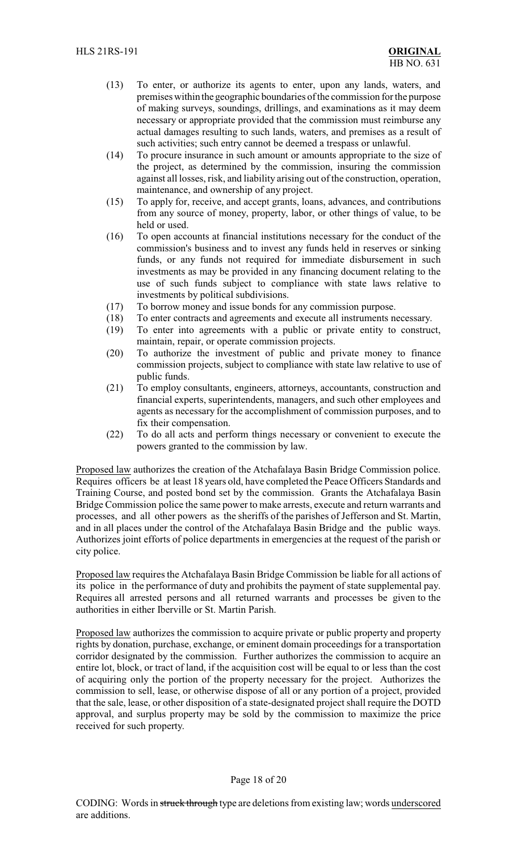- (13) To enter, or authorize its agents to enter, upon any lands, waters, and premises within the geographic boundaries of the commission for the purpose of making surveys, soundings, drillings, and examinations as it may deem necessary or appropriate provided that the commission must reimburse any actual damages resulting to such lands, waters, and premises as a result of such activities; such entry cannot be deemed a trespass or unlawful.
- (14) To procure insurance in such amount or amounts appropriate to the size of the project, as determined by the commission, insuring the commission against all losses, risk, and liability arising out of the construction, operation, maintenance, and ownership of any project.
- (15) To apply for, receive, and accept grants, loans, advances, and contributions from any source of money, property, labor, or other things of value, to be held or used.
- (16) To open accounts at financial institutions necessary for the conduct of the commission's business and to invest any funds held in reserves or sinking funds, or any funds not required for immediate disbursement in such investments as may be provided in any financing document relating to the use of such funds subject to compliance with state laws relative to investments by political subdivisions.
- (17) To borrow money and issue bonds for any commission purpose.
- (18) To enter contracts and agreements and execute all instruments necessary.
- (19) To enter into agreements with a public or private entity to construct, maintain, repair, or operate commission projects.
- (20) To authorize the investment of public and private money to finance commission projects, subject to compliance with state law relative to use of public funds.
- (21) To employ consultants, engineers, attorneys, accountants, construction and financial experts, superintendents, managers, and such other employees and agents as necessary for the accomplishment of commission purposes, and to fix their compensation.
- (22) To do all acts and perform things necessary or convenient to execute the powers granted to the commission by law.

Proposed law authorizes the creation of the Atchafalaya Basin Bridge Commission police. Requires officers be at least 18 years old, have completed the Peace Officers Standards and Training Course, and posted bond set by the commission. Grants the Atchafalaya Basin Bridge Commission police the same power to make arrests, execute and return warrants and processes, and all other powers as the sheriffs of the parishes of Jefferson and St. Martin, and in all places under the control of the Atchafalaya Basin Bridge and the public ways. Authorizes joint efforts of police departments in emergencies at the request of the parish or city police.

Proposed law requires the Atchafalaya Basin Bridge Commission be liable for all actions of its police in the performance of duty and prohibits the payment of state supplemental pay. Requires all arrested persons and all returned warrants and processes be given to the authorities in either Iberville or St. Martin Parish.

Proposed law authorizes the commission to acquire private or public property and property rights by donation, purchase, exchange, or eminent domain proceedings for a transportation corridor designated by the commission. Further authorizes the commission to acquire an entire lot, block, or tract of land, if the acquisition cost will be equal to or less than the cost of acquiring only the portion of the property necessary for the project. Authorizes the commission to sell, lease, or otherwise dispose of all or any portion of a project, provided that the sale, lease, or other disposition of a state-designated project shall require the DOTD approval, and surplus property may be sold by the commission to maximize the price received for such property.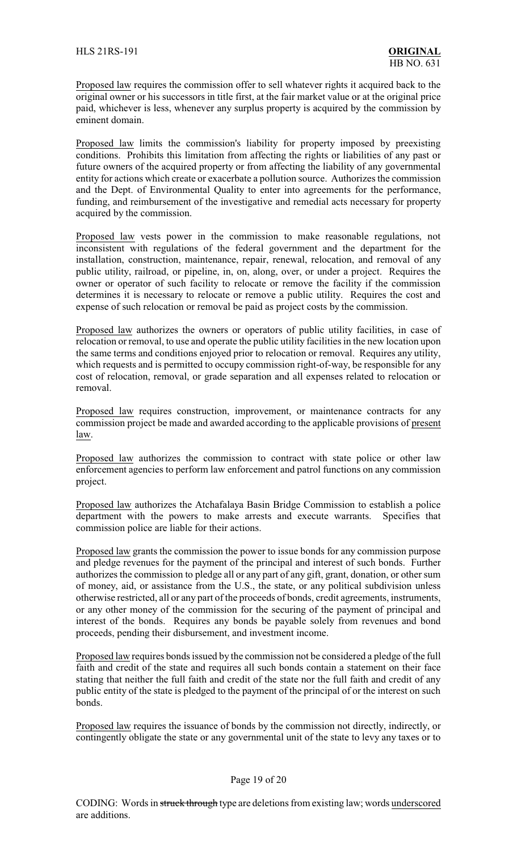Proposed law requires the commission offer to sell whatever rights it acquired back to the original owner or his successors in title first, at the fair market value or at the original price paid, whichever is less, whenever any surplus property is acquired by the commission by eminent domain.

Proposed law limits the commission's liability for property imposed by preexisting conditions. Prohibits this limitation from affecting the rights or liabilities of any past or future owners of the acquired property or from affecting the liability of any governmental entity for actions which create or exacerbate a pollution source. Authorizes the commission and the Dept. of Environmental Quality to enter into agreements for the performance, funding, and reimbursement of the investigative and remedial acts necessary for property acquired by the commission.

Proposed law vests power in the commission to make reasonable regulations, not inconsistent with regulations of the federal government and the department for the installation, construction, maintenance, repair, renewal, relocation, and removal of any public utility, railroad, or pipeline, in, on, along, over, or under a project. Requires the owner or operator of such facility to relocate or remove the facility if the commission determines it is necessary to relocate or remove a public utility. Requires the cost and expense of such relocation or removal be paid as project costs by the commission.

Proposed law authorizes the owners or operators of public utility facilities, in case of relocation or removal, to use and operate the public utility facilities in the new location upon the same terms and conditions enjoyed prior to relocation or removal. Requires any utility, which requests and is permitted to occupy commission right-of-way, be responsible for any cost of relocation, removal, or grade separation and all expenses related to relocation or removal.

Proposed law requires construction, improvement, or maintenance contracts for any commission project be made and awarded according to the applicable provisions of present law.

Proposed law authorizes the commission to contract with state police or other law enforcement agencies to perform law enforcement and patrol functions on any commission project.

Proposed law authorizes the Atchafalaya Basin Bridge Commission to establish a police department with the powers to make arrests and execute warrants. Specifies that commission police are liable for their actions.

Proposed law grants the commission the power to issue bonds for any commission purpose and pledge revenues for the payment of the principal and interest of such bonds. Further authorizes the commission to pledge all or any part of any gift, grant, donation, or other sum of money, aid, or assistance from the U.S., the state, or any political subdivision unless otherwise restricted, all or any part of the proceeds of bonds, credit agreements, instruments, or any other money of the commission for the securing of the payment of principal and interest of the bonds. Requires any bonds be payable solely from revenues and bond proceeds, pending their disbursement, and investment income.

Proposed law requires bonds issued by the commission not be considered a pledge of the full faith and credit of the state and requires all such bonds contain a statement on their face stating that neither the full faith and credit of the state nor the full faith and credit of any public entity of the state is pledged to the payment of the principal of or the interest on such bonds.

Proposed law requires the issuance of bonds by the commission not directly, indirectly, or contingently obligate the state or any governmental unit of the state to levy any taxes or to

### Page 19 of 20